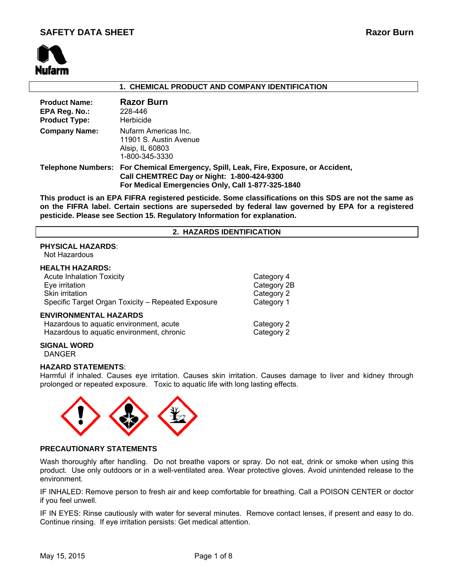

### **1. CHEMICAL PRODUCT AND COMPANY IDENTIFICATION**

| <b>Product Name:</b><br>EPA Reg. No.:<br><b>Product Type:</b> | <b>Razor Burn</b><br>228-446<br>Herbicide                                                                                                                                               |
|---------------------------------------------------------------|-----------------------------------------------------------------------------------------------------------------------------------------------------------------------------------------|
| <b>Company Name:</b>                                          | Nufarm Americas Inc.<br>11901 S. Austin Avenue<br>Alsip, IL 60803<br>1-800-345-3330                                                                                                     |
|                                                               | Telephone Numbers: For Chemical Emergency, Spill, Leak, Fire, Exposure, or Accident,<br>Call CHEMTREC Day or Night: 1-800-424-9300<br>For Medical Emergencies Only, Call 1-877-325-1840 |

**This product is an EPA FIFRA registered pesticide. Some classifications on this SDS are not the same as on the FIFRA label. Certain sections are superseded by federal law governed by EPA for a registered pesticide. Please see Section 15. Regulatory Information for explanation.**

# **2. HAZARDS IDENTIFICATION**

# **PHYSICAL HAZARDS**:

Not Hazardous

#### **HEALTH HAZARDS:**

| <b>Acute Inhalation Toxicity</b>                                                                                     | Category 4               |
|----------------------------------------------------------------------------------------------------------------------|--------------------------|
| Eye irritation                                                                                                       | Category 2B              |
| Skin irritation                                                                                                      | Category 2               |
| Specific Target Organ Toxicity - Repeated Exposure                                                                   | Category 1               |
| <b>ENVIRONMENTAL HAZARDS</b><br>Hazardous to aquatic environment, acute<br>Hazardous to aquatic environment, chronic | Category 2<br>Category 2 |

#### **SIGNAL WORD**

DANGER

# **HAZARD STATEMENTS**:

Harmful if inhaled. Causes eye irritation. Causes skin irritation. Causes damage to liver and kidney through prolonged or repeated exposure. Toxic to aquatic life with long lasting effects.



# **PRECAUTIONARY STATEMENTS**

Wash thoroughly after handling. Do not breathe vapors or spray. Do not eat, drink or smoke when using this product. Use only outdoors or in a well-ventilated area. Wear protective gloves. Avoid unintended release to the environment.

IF INHALED: Remove person to fresh air and keep comfortable for breathing. Call a POISON CENTER or doctor if you feel unwell.

IF IN EYES: Rinse cautiously with water for several minutes. Remove contact lenses, if present and easy to do. Continue rinsing. If eye irritation persists: Get medical attention.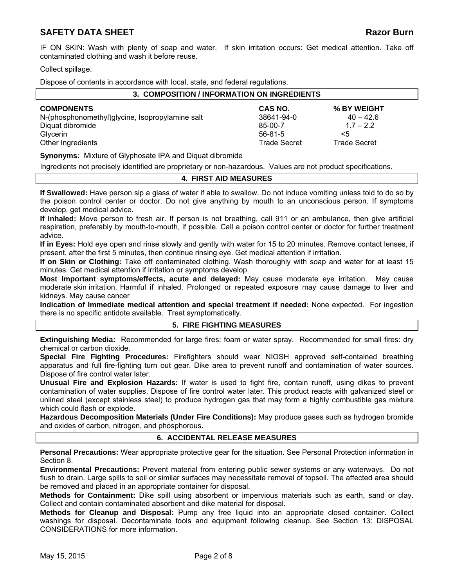IF ON SKIN: Wash with plenty of soap and water. If skin irritation occurs: Get medical attention. Take off contaminated clothing and wash it before reuse.

Collect spillage.

Dispose of contents in accordance with local, state, and federal regulations.

| 3. COMPOSITION / INFORMATION ON INGREDIENTS     |                     |              |  |
|-------------------------------------------------|---------------------|--------------|--|
| <b>COMPONENTS</b>                               | CAS NO.             | % BY WEIGHT  |  |
| N-(phosphonomethyl)glycine, Isopropylamine salt | 38641-94-0          | $40 - 42.6$  |  |
| Diquat dibromide                                | $85 - 00 - 7$       | $1.7 - 2.2$  |  |
| Glycerin                                        | $56 - 81 - 5$       | $\leq 5$     |  |
| Other Ingredients                               | <b>Trade Secret</b> | Trade Secret |  |

**Synonyms:** Mixture of Glyphosate IPA and Diquat dibromide

Ingredients not precisely identified are proprietary or non-hazardous. Values are not product specifications.

# **4. FIRST AID MEASURES**

**If Swallowed:** Have person sip a glass of water if able to swallow. Do not induce vomiting unless told to do so by the poison control center or doctor. Do not give anything by mouth to an unconscious person. If symptoms develop, get medical advice.

**If Inhaled:** Move person to fresh air. If person is not breathing, call 911 or an ambulance, then give artificial respiration, preferably by mouth-to-mouth, if possible. Call a poison control center or doctor for further treatment advice.

**If in Eyes:** Hold eye open and rinse slowly and gently with water for 15 to 20 minutes. Remove contact lenses, if present, after the first 5 minutes, then continue rinsing eye. Get medical attention if irritation.

**If on Skin or Clothing:** Take off contaminated clothing. Wash thoroughly with soap and water for at least 15 minutes. Get medical attention if irritation or symptoms develop.

**Most Important symptoms/effects, acute and delayed:** May cause moderate eye irritation. May cause moderate skin irritation. Harmful if inhaled. Prolonged or repeated exposure may cause damage to liver and kidneys. May cause cancer

**Indication of Immediate medical attention and special treatment if needed:** None expected. For ingestion there is no specific antidote available. Treat symptomatically.

# **5. FIRE FIGHTING MEASURES**

**Extinguishing Media:** Recommended for large fires: foam or water spray. Recommended for small fires: dry chemical or carbon dioxide.

**Special Fire Fighting Procedures:** Firefighters should wear NIOSH approved self-contained breathing apparatus and full fire-fighting turn out gear. Dike area to prevent runoff and contamination of water sources. Dispose of fire control water later.

**Unusual Fire and Explosion Hazards:** If water is used to fight fire, contain runoff, using dikes to prevent contamination of water supplies. Dispose of fire control water later. This product reacts with galvanized steel or unlined steel (except stainless steel) to produce hydrogen gas that may form a highly combustible gas mixture which could flash or explode.

**Hazardous Decomposition Materials (Under Fire Conditions):** May produce gases such as hydrogen bromide and oxides of carbon, nitrogen, and phosphorous.

# **6. ACCIDENTAL RELEASE MEASURES**

**Personal Precautions:** Wear appropriate protective gear for the situation. See Personal Protection information in Section 8.

**Environmental Precautions:** Prevent material from entering public sewer systems or any waterways. Do not flush to drain. Large spills to soil or similar surfaces may necessitate removal of topsoil. The affected area should be removed and placed in an appropriate container for disposal.

**Methods for Containment:** Dike spill using absorbent or impervious materials such as earth, sand or clay. Collect and contain contaminated absorbent and dike material for disposal.

**Methods for Cleanup and Disposal:** Pump any free liquid into an appropriate closed container. Collect washings for disposal. Decontaminate tools and equipment following cleanup. See Section 13: DISPOSAL CONSIDERATIONS for more information.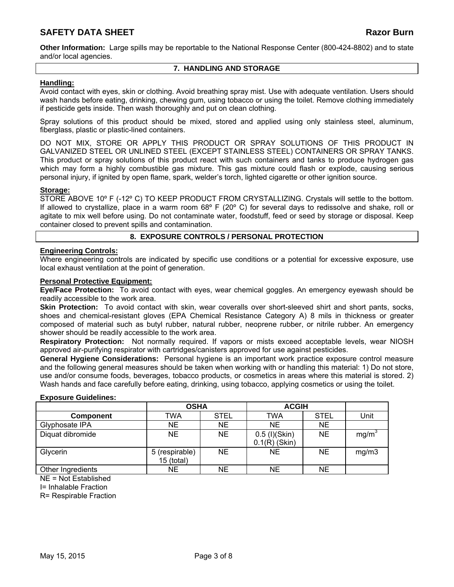**Other Information:** Large spills may be reportable to the National Response Center (800-424-8802) and to state and/or local agencies.

# **7. HANDLING AND STORAGE**

# **Handling:**

Avoid contact with eyes, skin or clothing. Avoid breathing spray mist. Use with adequate ventilation. Users should wash hands before eating, drinking, chewing gum, using tobacco or using the toilet. Remove clothing immediately if pesticide gets inside. Then wash thoroughly and put on clean clothing.

Spray solutions of this product should be mixed, stored and applied using only stainless steel, aluminum, fiberglass, plastic or plastic-lined containers.

DO NOT MIX, STORE OR APPLY THIS PRODUCT OR SPRAY SOLUTIONS OF THIS PRODUCT IN GALVANIZED STEEL OR UNLINED STEEL (EXCEPT STAINLESS STEEL) CONTAINERS OR SPRAY TANKS. This product or spray solutions of this product react with such containers and tanks to produce hydrogen gas which may form a highly combustible gas mixture. This gas mixture could flash or explode, causing serious personal injury, if ignited by open flame, spark, welder's torch, lighted cigarette or other ignition source.

# **Storage:**

STORE ABOVE 10° F (-12° C) TO KEEP PRODUCT FROM CRYSTALLIZING. Crystals will settle to the bottom. If allowed to crystallize, place in a warm room 68º F (20º C) for several days to redissolve and shake, roll or agitate to mix well before using. Do not contaminate water, foodstuff, feed or seed by storage or disposal. Keep container closed to prevent spills and contamination.

# **8. EXPOSURE CONTROLS / PERSONAL PROTECTION**

# **Engineering Controls:**

Where engineering controls are indicated by specific use conditions or a potential for excessive exposure, use local exhaust ventilation at the point of generation.

# **Personal Protective Equipment:**

**Eye/Face Protection:** To avoid contact with eyes, wear chemical goggles. An emergency eyewash should be readily accessible to the work area.

**Skin Protection:** To avoid contact with skin, wear coveralls over short-sleeved shirt and short pants, socks, shoes and chemical-resistant gloves (EPA Chemical Resistance Category A) 8 mils in thickness or greater composed of material such as butyl rubber, natural rubber, neoprene rubber, or nitrile rubber. An emergency shower should be readily accessible to the work area.

**Respiratory Protection:** Not normally required. If vapors or mists exceed acceptable levels, wear NIOSH approved air-purifying respirator with cartridges/canisters approved for use against pesticides.

**General Hygiene Considerations:** Personal hygiene is an important work practice exposure control measure and the following general measures should be taken when working with or handling this material: 1) Do not store, use and/or consume foods, beverages, tobacco products, or cosmetics in areas where this material is stored. 2) Wash hands and face carefully before eating, drinking, using tobacco, applying cosmetics or using the toilet.

# **Exposure Guidelines:**

|                   | <b>OSHA</b>                  |             | <b>ACGIH</b>                     |             |       |
|-------------------|------------------------------|-------------|----------------------------------|-------------|-------|
| <b>Component</b>  | TWA                          | <b>STEL</b> | <b>TWA</b>                       | <b>STEL</b> | Unit  |
| Glyphosate IPA    | <b>NE</b>                    | <b>NE</b>   | <b>NE</b>                        | <b>NE</b>   |       |
| Diquat dibromide  | <b>NE</b>                    | <b>NE</b>   | 0.5 (I)(Skin)<br>$0.1(R)$ (Skin) | <b>NE</b>   | mg/m  |
| Glycerin          | 5 (respirable)<br>15 (total) | <b>NE</b>   | <b>NE</b>                        | <b>NE</b>   | mg/m3 |
| Other Ingredients | NΕ                           | <b>NE</b>   | NE                               | NE.         |       |

 $N = Not$  Established

I= Inhalable Fraction

R= Respirable Fraction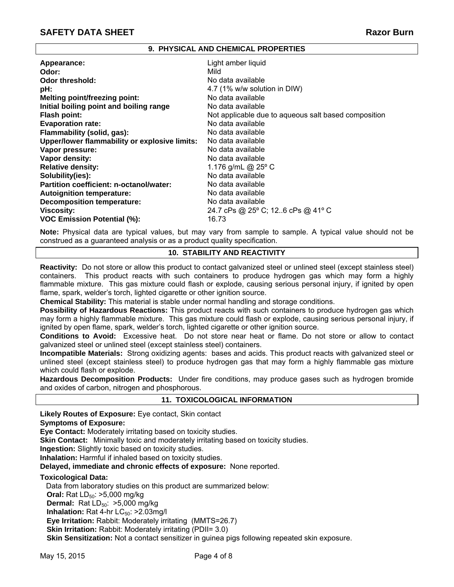# **9. PHYSICAL AND CHEMICAL PROPERTIES**

| Appearance:                                   | Light amber liquid                                   |
|-----------------------------------------------|------------------------------------------------------|
| Odor:                                         | Mild                                                 |
| <b>Odor threshold:</b>                        | No data available                                    |
| pH:                                           | 4.7 (1% w/w solution in DIW)                         |
| <b>Melting point/freezing point:</b>          | No data available                                    |
| Initial boiling point and boiling range       | No data available                                    |
| <b>Flash point:</b>                           | Not applicable due to aqueous salt based composition |
| <b>Evaporation rate:</b>                      | No data available                                    |
| Flammability (solid, gas):                    | No data available                                    |
| Upper/lower flammability or explosive limits: | No data available                                    |
| Vapor pressure:                               | No data available                                    |
| Vapor density:                                | No data available                                    |
| <b>Relative density:</b>                      | 1.176 g/mL @ 25° C                                   |
| Solubility(ies):                              | No data available                                    |
| Partition coefficient: n-octanol/water:       | No data available                                    |
| <b>Autoignition temperature:</b>              | No data available                                    |
| <b>Decomposition temperature:</b>             | No data available                                    |
| <b>Viscosity:</b>                             | 24.7 cPs @ 25° C; 126 cPs @ 41° C                    |
| <b>VOC Emission Potential (%):</b>            | 16.73                                                |

**Note:** Physical data are typical values, but may vary from sample to sample. A typical value should not be construed as a guaranteed analysis or as a product quality specification.

# **10. STABILITY AND REACTIVITY**

**Reactivity:** Do not store or allow this product to contact galvanized steel or unlined steel (except stainless steel) containers. This product reacts with such containers to produce hydrogen gas which may form a highly flammable mixture. This gas mixture could flash or explode, causing serious personal injury, if ignited by open flame, spark, welder's torch, lighted cigarette or other ignition source.

**Chemical Stability:** This material is stable under normal handling and storage conditions.

**Possibility of Hazardous Reactions:** This product reacts with such containers to produce hydrogen gas which may form a highly flammable mixture. This gas mixture could flash or explode, causing serious personal injury, if ignited by open flame, spark, welder's torch, lighted cigarette or other ignition source.

**Conditions to Avoid:** Excessive heat. Do not store near heat or flame. Do not store or allow to contact galvanized steel or unlined steel (except stainless steel) containers.

**Incompatible Materials:** Strong oxidizing agents: bases and acids. This product reacts with galvanized steel or unlined steel (except stainless steel) to produce hydrogen gas that may form a highly flammable gas mixture which could flash or explode.

**Hazardous Decomposition Products:** Under fire conditions, may produce gases such as hydrogen bromide and oxides of carbon, nitrogen and phosphorous.

# **11. TOXICOLOGICAL INFORMATION**

**Likely Routes of Exposure:** Eye contact, Skin contact

# **Symptoms of Exposure:**

**Eye Contact:** Moderately irritating based on toxicity studies.

**Skin Contact:** Minimally toxic and moderately irritating based on toxicity studies.

**Ingestion:** Slightly toxic based on toxicity studies.

**Inhalation:** Harmful if inhaled based on toxicity studies.

**Delayed, immediate and chronic effects of exposure:** None reported.

# **Toxicological Data:**

Data from laboratory studies on this product are summarized below:

**Oral:** Rat LD<sub>50</sub>: >5,000 mg/kg

**Dermal:** Rat LD<sub>50</sub>: >5,000 mg/kg

**Inhalation:** Rat 4-hr  $LC_{50}$ :  $>2.03$ mg/l

**Eye Irritation:** Rabbit: Moderately irritating (MMTS=26.7)

**Skin Irritation:** Rabbit: Moderately irritating (PDII= 3.0)

**Skin Sensitization:** Not a contact sensitizer in guinea pigs following repeated skin exposure.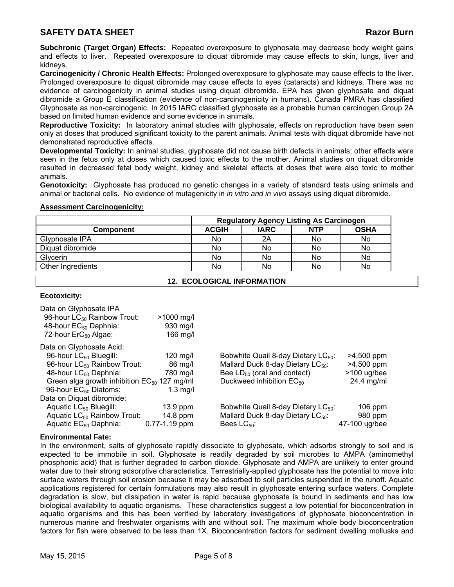**Subchronic (Target Organ) Effects:** Repeated overexposure to glyphosate may decrease body weight gains and effects to liver. Repeated overexposure to diquat dibromide may cause effects to skin, lungs, liver and kidneys.

**Carcinogenicity / Chronic Health Effects:** Prolonged overexposure to glyphosate may cause effects to the liver. Prolonged overexposure to diquat dibromide may cause effects to eyes (cataracts) and kidneys. There was no evidence of carcinogenicity in animal studies using diquat dibromide. EPA has given glyphosate and diquat dibromide a Group E classification (evidence of non-carcinogenicity in humans). Canada PMRA has classified Glyphosate as non-carcinogenic. In 2015 IARC classified glyphosate as a probable human carcinogen Group 2A based on limited human evidence and some evidence in animals.

**Reproductive Toxicity:** In laboratory animal studies with glyphosate, effects on reproduction have been seen only at doses that produced significant toxicity to the parent animals. Animal tests with diquat dibromide have not demonstrated reproductive effects.

**Developmental Toxicity:** In animal studies, glyphosate did not cause birth defects in animals; other effects were seen in the fetus only at doses which caused toxic effects to the mother. Animal studies on diquat dibromide resulted in decreased fetal body weight, kidney and skeletal effects at doses that were also toxic to mother animals.

**Genotoxicity:** Glyphosate has produced no genetic changes in a variety of standard tests using animals and animal or bacterial cells. No evidence of mutagenicity in *in vitro and in vivo* assays using diquat dibromide.

#### **Assessment Carcinogenicity:**

|                   | <b>Regulatory Agency Listing As Carcinogen</b> |             |            |             |
|-------------------|------------------------------------------------|-------------|------------|-------------|
| <b>Component</b>  | <b>ACGIH</b>                                   | <b>IARC</b> | <b>NTP</b> | <b>OSHA</b> |
| Glyphosate IPA    | No                                             | 2A          | No         | No          |
| Diquat dibromide  | No                                             | No          | No         | No          |
| Glycerin          | No                                             | No          | No         | No          |
| Other Ingredients | No                                             | No          | No         | No.         |

# **12. ECOLOGICAL INFORMATION**

# **Ecotoxicity:**

| Data on Glyphosate IPA                           |                    |                                                 |               |
|--------------------------------------------------|--------------------|-------------------------------------------------|---------------|
| 96-hour LC <sub>50</sub> Rainbow Trout:          | $>1000$ mg/l       |                                                 |               |
| 48-hour EC <sub>50</sub> Daphnia:                | 930 mg/l           |                                                 |               |
| 72-hour $\text{ErC}_{50}$ Algae:                 | $166$ mg/l         |                                                 |               |
| Data on Glyphosate Acid:                         |                    |                                                 |               |
| 96-hour LC <sub>50</sub> Bluegill:               | $120 \text{ mq/l}$ | Bobwhite Quail 8-day Dietary LC <sub>50</sub> : | $>4,500$ ppm  |
| 96-hour LC <sub>50</sub> Rainbow Trout:          | 86 mg/l            | Mallard Duck 8-day Dietary LC <sub>50</sub> :   | $>4,500$ ppm  |
| 48-hour LC <sub>50</sub> Daphnia:                | 780 mg/l           | Bee $LD_{50}$ (oral and contact)                | $>100$ ug/bee |
| Green alga growth inhibition $EC_{50}$ 127 mg/ml |                    | Duckweed inhibition $EC_{50}$                   | 24.4 mg/ml    |
| 96-hour EC <sub>50</sub> Diatoms:                | $1.3 \text{ mg/l}$ |                                                 |               |
| Data on Diguat dibromide:                        |                    |                                                 |               |
| Aquatic LC <sub>50</sub> Bluegill:               | $13.9$ ppm         | Bobwhite Quail 8-day Dietary LC <sub>50</sub> : | 106 ppm       |
| Aquatic $LC_{50}$ Rainbow Trout:                 | $14.8$ ppm         | Mallard Duck 8-day Dietary LC <sub>50</sub> :   | 980 ppm       |
| Aquatic EC <sub>50</sub> Daphnia:                | $0.77 - 1.19$ ppm  | Bees $LC_{50}$ :                                | 47-100 yg/bee |
|                                                  |                    |                                                 |               |

# **Environmental Fate:**

In the environment, salts of glyphosate rapidly dissociate to glyphosate, which adsorbs strongly to soil and is expected to be immobile in soil. Glyphosate is readily degraded by soil microbes to AMPA (aminomethyl phosphonic acid) that is further degraded to carbon dioxide. Glyphosate and AMPA are unlikely to enter ground water due to their strong adsorptive characteristics. Terrestrially-applied glyphosate has the potential to move into surface waters through soil erosion because it may be adsorbed to soil particles suspended in the runoff. Aquatic applications registered for certain formulations may also result in glyphosate entering surface waters. Complete degradation is slow, but dissipation in water is rapid because glyphosate is bound in sediments and has low biological availability to aquatic organisms. These characteristics suggest a low potential for bioconcentration in aquatic organisms and this has been verified by laboratory investigations of glyphosate bioconcentration in numerous marine and freshwater organisms with and without soil. The maximum whole body bioconcentration factors for fish were observed to be less than 1X. Bioconcentration factors for sediment dwelling mollusks and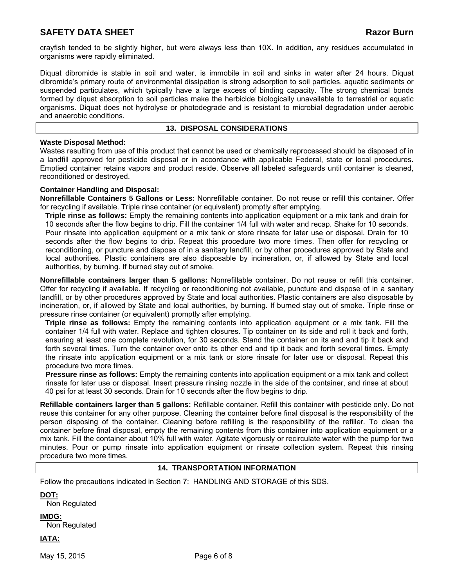crayfish tended to be slightly higher, but were always less than 10X. In addition, any residues accumulated in organisms were rapidly eliminated.

Diquat dibromide is stable in soil and water, is immobile in soil and sinks in water after 24 hours. Diquat dibromide's primary route of environmental dissipation is strong adsorption to soil particles, aquatic sediments or suspended particulates, which typically have a large excess of binding capacity. The strong chemical bonds formed by diquat absorption to soil particles make the herbicide biologically unavailable to terrestrial or aquatic organisms. Diquat does not hydrolyse or photodegrade and is resistant to microbial degradation under aerobic and anaerobic conditions.

### **13. DISPOSAL CONSIDERATIONS**

### **Waste Disposal Method:**

Wastes resulting from use of this product that cannot be used or chemically reprocessed should be disposed of in a landfill approved for pesticide disposal or in accordance with applicable Federal, state or local procedures. Emptied container retains vapors and product reside. Observe all labeled safeguards until container is cleaned, reconditioned or destroyed.

#### **Container Handling and Disposal:**

**Nonrefillable Containers 5 Gallons or Less:** Nonrefillable container. Do not reuse or refill this container. Offer for recycling if available. Triple rinse container (or equivalent) promptly after emptying.

**Triple rinse as follows:** Empty the remaining contents into application equipment or a mix tank and drain for 10 seconds after the flow begins to drip. Fill the container 1/4 full with water and recap. Shake for 10 seconds. Pour rinsate into application equipment or a mix tank or store rinsate for later use or disposal. Drain for 10 seconds after the flow begins to drip. Repeat this procedure two more times. Then offer for recycling or reconditioning, or puncture and dispose of in a sanitary landfill, or by other procedures approved by State and local authorities. Plastic containers are also disposable by incineration, or, if allowed by State and local authorities, by burning. If burned stay out of smoke.

**Nonrefillable containers larger than 5 gallons:** Nonrefillable container. Do not reuse or refill this container. Offer for recycling if available. If recycling or reconditioning not available, puncture and dispose of in a sanitary landfill, or by other procedures approved by State and local authorities. Plastic containers are also disposable by incineration, or, if allowed by State and local authorities, by burning. If burned stay out of smoke. Triple rinse or pressure rinse container (or equivalent) promptly after emptying.

**Triple rinse as follows:** Empty the remaining contents into application equipment or a mix tank. Fill the container 1/4 full with water. Replace and tighten closures. Tip container on its side and roll it back and forth, ensuring at least one complete revolution, for 30 seconds. Stand the container on its end and tip it back and forth several times. Turn the container over onto its other end and tip it back and forth several times. Empty the rinsate into application equipment or a mix tank or store rinsate for later use or disposal. Repeat this procedure two more times.

**Pressure rinse as follows:** Empty the remaining contents into application equipment or a mix tank and collect rinsate for later use or disposal. Insert pressure rinsing nozzle in the side of the container, and rinse at about 40 psi for at least 30 seconds. Drain for 10 seconds after the flow begins to drip.

**Refillable containers larger than 5 gallons:** Refillable container. Refill this container with pesticide only. Do not reuse this container for any other purpose. Cleaning the container before final disposal is the responsibility of the person disposing of the container. Cleaning before refilling is the responsibility of the refiller. To clean the container before final disposal, empty the remaining contents from this container into application equipment or a mix tank. Fill the container about 10% full with water. Agitate vigorously or recirculate water with the pump for two minutes. Pour or pump rinsate into application equipment or rinsate collection system. Repeat this rinsing procedure two more times.

#### **14. TRANSPORTATION INFORMATION**

Follow the precautions indicated in Section 7: HANDLING AND STORAGE of this SDS.

**DOT:**

Non Regulated

- **IMDG:** Non Regulated
- **IATA:**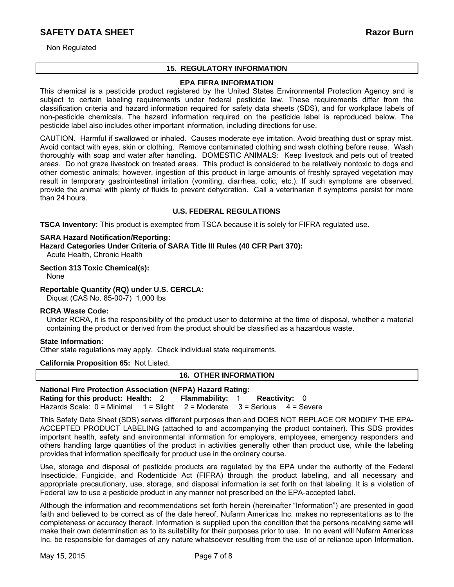Non Regulated

# **15. REGULATORY INFORMATION**

# **EPA FIFRA INFORMATION**

This chemical is a pesticide product registered by the United States Environmental Protection Agency and is subject to certain labeling requirements under federal pesticide law. These requirements differ from the classification criteria and hazard information required for safety data sheets (SDS), and for workplace labels of non-pesticide chemicals. The hazard information required on the pesticide label is reproduced below. The pesticide label also includes other important information, including directions for use.

CAUTION. Harmful if swallowed or inhaled. Causes moderate eye irritation. Avoid breathing dust or spray mist. Avoid contact with eyes, skin or clothing. Remove contaminated clothing and wash clothing before reuse. Wash thoroughly with soap and water after handling. DOMESTIC ANIMALS: Keep livestock and pets out of treated areas. Do not graze livestock on treated areas. This product is considered to be relatively nontoxic to dogs and other domestic animals; however, ingestion of this product in large amounts of freshly sprayed vegetation may result in temporary gastrointestinal irritation (vomiting, diarrhea, colic, etc.). If such symptoms are observed, provide the animal with plenty of fluids to prevent dehydration. Call a veterinarian if symptoms persist for more than 24 hours.

# **U.S. FEDERAL REGULATIONS**

**TSCA Inventory:** This product is exempted from TSCA because it is solely for FIFRA regulated use.

#### **SARA Hazard Notification/Reporting:**

**Hazard Categories Under Criteria of SARA Title III Rules (40 CFR Part 370):** Acute Health, Chronic Health

**Section 313 Toxic Chemical(s):**

None

**Reportable Quantity (RQ) under U.S. CERCLA:** 

Diquat (CAS No. 85-00-7) 1,000 lbs

# **RCRA Waste Code:**

Under RCRA, it is the responsibility of the product user to determine at the time of disposal, whether a material containing the product or derived from the product should be classified as a hazardous waste.

# **State Information:**

Other state regulations may apply. Check individual state requirements.

**California Proposition 65:** Not Listed.

# **16. OTHER INFORMATION**

#### **National Fire Protection Association (NFPA) Hazard Rating: Rating for this product: Health:** 2 **Flammability:** 1 **Reactivity:** 0 Hazards Scale: 0 = Minimal 1 = Slight 2 = Moderate 3 = Serious 4 = Severe

This Safety Data Sheet (SDS) serves different purposes than and DOES NOT REPLACE OR MODIFY THE EPA-ACCEPTED PRODUCT LABELING (attached to and accompanying the product container). This SDS provides important health, safety and environmental information for employers, employees, emergency responders and others handling large quantities of the product in activities generally other than product use, while the labeling provides that information specifically for product use in the ordinary course.

Use, storage and disposal of pesticide products are regulated by the EPA under the authority of the Federal Insecticide, Fungicide, and Rodenticide Act (FIFRA) through the product labeling, and all necessary and appropriate precautionary, use, storage, and disposal information is set forth on that labeling. It is a violation of Federal law to use a pesticide product in any manner not prescribed on the EPA-accepted label.

Although the information and recommendations set forth herein (hereinafter "Information") are presented in good faith and believed to be correct as of the date hereof, Nufarm Americas Inc. makes no representations as to the completeness or accuracy thereof. Information is supplied upon the condition that the persons receiving same will make their own determination as to its suitability for their purposes prior to use. In no event will Nufarm Americas Inc. be responsible for damages of any nature whatsoever resulting from the use of or reliance upon Information.